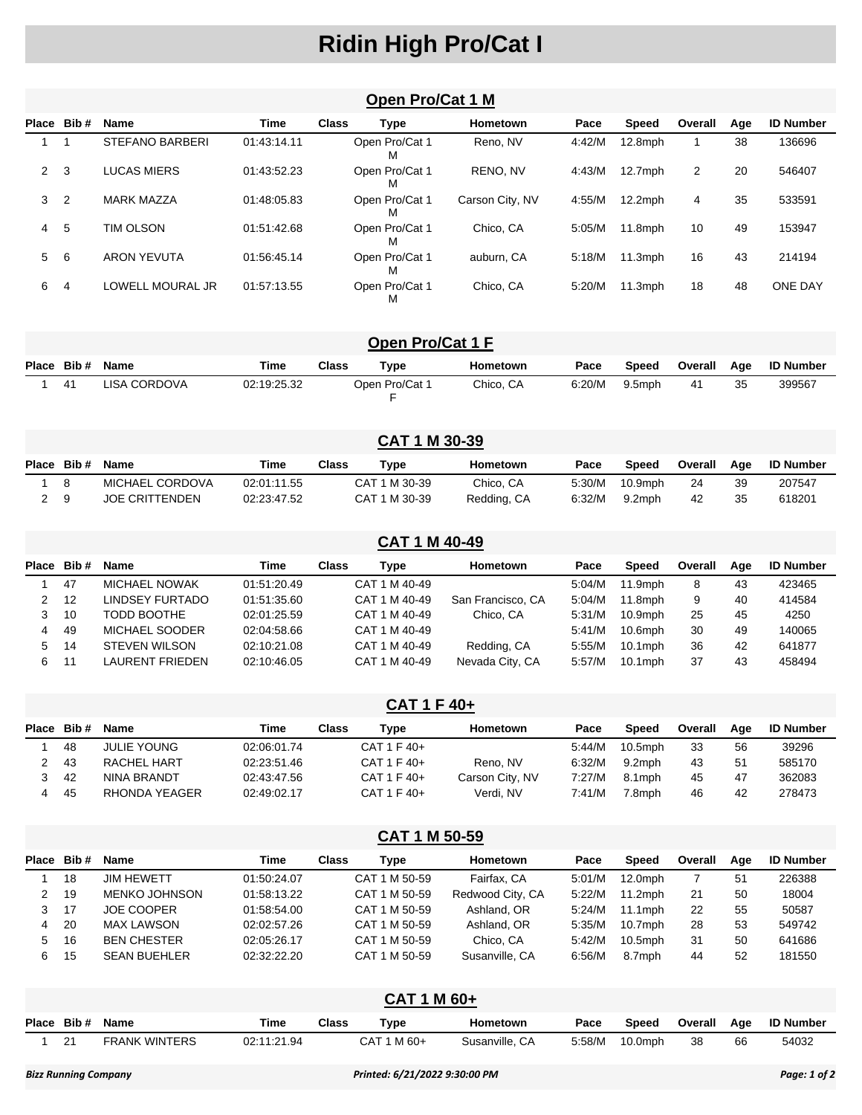## **Ridin High Pro/Cat I**

|              |                |                        |             |              | Open Pro/Cat 1 M    |                 |        |            |                |     |                  |  |
|--------------|----------------|------------------------|-------------|--------------|---------------------|-----------------|--------|------------|----------------|-----|------------------|--|
| Place        | Bib #          | Name                   | <b>Time</b> | <b>Class</b> | <b>Type</b>         | Hometown        | Pace   | Speed      | Overall        | Age | <b>ID Number</b> |  |
|              |                | <b>STEFANO BARBERI</b> | 01:43:14.11 |              | Open Pro/Cat 1<br>М | Reno, NV        | 4:42/M | $12.8$ mph |                | 38  | 136696           |  |
| $\mathbf{2}$ | 3              | <b>LUCAS MIERS</b>     | 01:43:52.23 |              | Open Pro/Cat 1<br>М | RENO, NV        | 4:43/M | $12.7$ mph | $\overline{2}$ | 20  | 546407           |  |
| 3            | $\overline{2}$ | <b>MARK MAZZA</b>      | 01:48:05.83 |              | Open Pro/Cat 1<br>М | Carson City, NV | 4:55/M | $12.2$ mph | 4              | 35  | 533591           |  |
| 4            | 5              | TIM OLSON              | 01:51:42.68 |              | Open Pro/Cat 1<br>м | Chico. CA       | 5:05/M | $11.8$ mph | 10             | 49  | 153947           |  |
| 5            | 6              | <b>ARON YEVUTA</b>     | 01:56:45.14 |              | Open Pro/Cat 1<br>М | auburn, CA      | 5:18/M | $11.3$ mph | 16             | 43  | 214194           |  |
| 6            | 4              | LOWELL MOURAL JR       | 01:57:13.55 |              | Open Pro/Cat 1<br>М | Chico, CA       | 5:20/M | $11.3$ mph | 18             | 48  | <b>ONE DAY</b>   |  |

|            |              |             |              | Open Pro/Cat 1 F |           |        |        |         |     |                  |
|------------|--------------|-------------|--------------|------------------|-----------|--------|--------|---------|-----|------------------|
| Place Bib# | Name         | Time        | <b>Class</b> | Type             | Hometown  | Pace   | Speed  | Overall | Aae | <b>ID Number</b> |
| -41        | LISA CORDOVA | 02:19:25.32 |              | Open Pro/Cat 1   | Chico. CA | 6:20/M | 9.5mph | 41      | 35  | 399567           |

|    |            |                       |             |              | <b>CAT 1 M 30-39</b> |             |        |            |         |     |                  |
|----|------------|-----------------------|-------------|--------------|----------------------|-------------|--------|------------|---------|-----|------------------|
|    | Place Bib# | Name                  | Time        | <b>Class</b> | Type                 | Hometown    | Pace   | Speed      | Overall | Aae | <b>ID Number</b> |
|    | - 8        | MICHAEL CORDOVA       | 02:01:11.55 |              | CAT 1 M 30-39        | Chico, CA   | 5:30/M | $10.9$ mph | 24      | 39  | 207547           |
| 29 |            | <b>JOE CRITTENDEN</b> | 02:23:47.52 |              | CAT 1 M 30-39        | Redding, CA | 6:32/M | 9.2mph     | 42      | 35  | 618201           |

|              | <b>CAT 1 M 40-49</b> |                      |             |              |               |                   |        |            |         |     |                  |  |
|--------------|----------------------|----------------------|-------------|--------------|---------------|-------------------|--------|------------|---------|-----|------------------|--|
|              | Place Bib#           | <b>Name</b>          | Time        | <b>Class</b> | Type          | Hometown          | Pace   | Speed      | Overall | Aae | <b>ID Number</b> |  |
|              | 47                   | <b>MICHAEL NOWAK</b> | 01:51:20.49 |              | CAT 1 M 40-49 |                   | 5:04/M | 11.9mph    | 8       | 43  | 423465           |  |
| $2 \quad 12$ |                      | LINDSEY FURTADO      | 01:51:35.60 |              | CAT 1 M 40-49 | San Francisco, CA | 5:04/M | $11.8$ mph | 9       | 40  | 414584           |  |
| 3            | -10                  | TODD BOOTHE          | 02:01:25.59 |              | CAT 1 M 40-49 | Chico, CA         | 5:31/M | $10.9$ mph | 25      | 45  | 4250             |  |
| 4            | -49                  | MICHAEL SOODER       | 02:04:58.66 |              | CAT 1 M 40-49 |                   | 5:41/M | $10.6$ mph | 30      | 49  | 140065           |  |
| 5            | - 14                 | <b>STEVEN WILSON</b> | 02:10:21.08 |              | CAT 1 M 40-49 | Redding, CA       | 5:55/M | $10.1$ mph | 36      | 42  | 641877           |  |
| 6            | 11                   | LAURENT FRIEDEN      | 02:10:46.05 |              | CAT 1 M 40-49 | Nevada City, CA   | 5:57/M | $10.1$ mph | 37      | 43  | 458494           |  |

|            | CAT 1 F 40+ |               |             |       |             |                 |        |            |         |     |                  |  |  |
|------------|-------------|---------------|-------------|-------|-------------|-----------------|--------|------------|---------|-----|------------------|--|--|
| Place Bib# |             | <b>Name</b>   | Time        | Class | Type        | Hometown        | Pace   | Speed      | Overall | Aae | <b>ID Number</b> |  |  |
|            | 48          | JULIE YOUNG   | 02:06:01.74 |       | CAT 1 F 40+ |                 | 5:44/M | $10.5$ mph | 33      | 56  | 39296            |  |  |
|            | -43         | RACHEL HART   | 02:23:51.46 |       | CAT 1 F 40+ | Reno, NV        | 6:32/M | 9.2mph     | 43      | 51  | 585170           |  |  |
|            | 42          | NINA BRANDT   | 02:43:47.56 |       | CAT 1 F 40+ | Carson City, NV | 7:27/M | 8.1mph     | 45      | 47  | 362083           |  |  |
| 4          | 45          | RHONDA YEAGER | 02:49:02.17 |       | CAT 1 F 40+ | Verdi. NV       | 7:41/M | 7.8mph     | 46      | 42  | 278473           |  |  |

| CAT 1 M 50-59 |      |                     |             |              |               |                  |        |            |         |     |                  |
|---------------|------|---------------------|-------------|--------------|---------------|------------------|--------|------------|---------|-----|------------------|
| <b>Place</b>  | Bib# | Name                | Time        | <b>Class</b> | Type          | Hometown         | Pace   | Speed      | Overall | Age | <b>ID Number</b> |
|               | 18   | <b>JIM HEWETT</b>   | 01:50:24.07 |              | CAT 1 M 50-59 | Fairfax, CA      | 5:01/M | $12.0$ mph |         | 51  | 226388           |
| 2.            | 19   | MENKO JOHNSON       | 01:58:13.22 |              | CAT 1 M 50-59 | Redwood City, CA | 5:22/M | $11.2$ mph | 21      | 50  | 18004            |
| 3             | 17   | <b>JOE COOPER</b>   | 01:58:54.00 |              | CAT 1 M 50-59 | Ashland, OR      | 5:24/M | $11.1$ mph | 22      | 55  | 50587            |
| 4             | 20   | <b>MAX LAWSON</b>   | 02:02:57.26 |              | CAT 1 M 50-59 | Ashland, OR      | 5:35/M | $10.7$ mph | 28      | 53  | 549742           |
| 5.            | 16   | <b>BEN CHESTER</b>  | 02:05:26.17 |              | CAT 1 M 50-59 | Chico, CA        | 5:42/M | $10.5$ mph | 31      | 50  | 641686           |
| 6             | 15   | <b>SEAN BUEHLER</b> | 02:32:22.20 |              | CAT 1 M 50-59 | Susanville, CA   | 6:56/M | 8.7mph     | 44      | 52  | 181550           |

| <b>CAT 1 M 60+</b> |                      |             |              |             |                |        |            |         |     |                  |  |  |
|--------------------|----------------------|-------------|--------------|-------------|----------------|--------|------------|---------|-----|------------------|--|--|
| Place Bib#         | Name                 | Time        | <b>Class</b> | Type        | Hometown       | Pace   | Speed      | Overall | Aae | <b>ID Number</b> |  |  |
| 21                 | <b>FRANK WINTERS</b> | 02:11:21.94 |              | CAT 1 M 60+ | Susanville, CA | 5:58/M | $10.0$ mph | 38      | 66  | 54032            |  |  |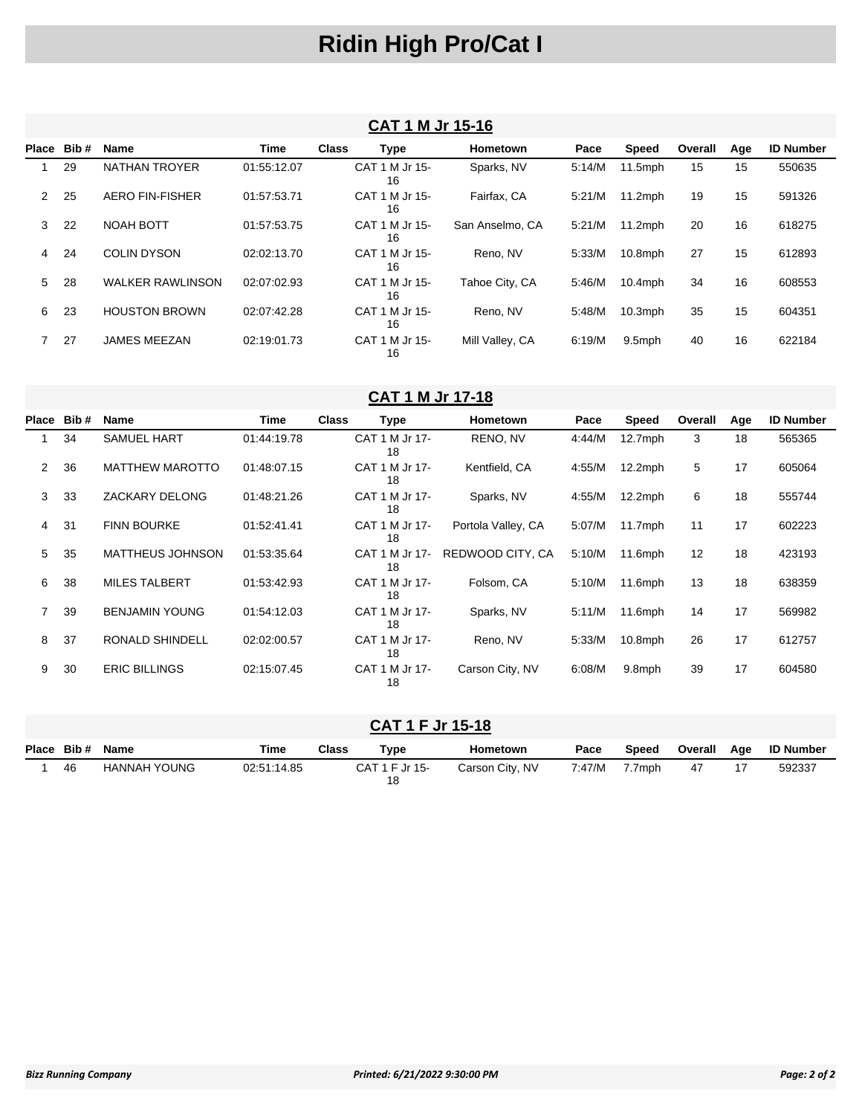### **Ridin High Pro/Cat I**

#### **CAT 1 M Jr 15-16**

| Place | Bib# | <b>Name</b>             | <b>Time</b> | <b>Class</b> | Type                 | <b>Hometown</b> | Pace   | Speed      | Overall | Age | <b>ID Number</b> |
|-------|------|-------------------------|-------------|--------------|----------------------|-----------------|--------|------------|---------|-----|------------------|
|       | 29   | <b>NATHAN TROYER</b>    | 01:55:12.07 |              | CAT 1 M Jr 15-<br>16 | Sparks, NV      | 5:14/M | $11.5$ mph | 15      | 15  | 550635           |
| 2     | 25   | <b>AERO FIN-FISHER</b>  | 01:57:53.71 |              | CAT 1 M Jr 15-<br>16 | Fairfax, CA     | 5:21/M | $11.2$ mph | 19      | 15  | 591326           |
| 3     | 22   | NOAH BOTT               | 01:57:53.75 |              | CAT 1 M Jr 15-<br>16 | San Anselmo, CA | 5:21/M | $11.2$ mph | 20      | 16  | 618275           |
| 4     | 24   | <b>COLIN DYSON</b>      | 02:02:13.70 |              | CAT 1 M Jr 15-<br>16 | Reno, NV        | 5:33/M | $10.8$ mph | 27      | 15  | 612893           |
| 5     | 28   | <b>WALKER RAWLINSON</b> | 02:07:02.93 |              | CAT 1 M Jr 15-<br>16 | Tahoe City, CA  | 5:46/M | $10.4$ mph | 34      | 16  | 608553           |
| 6     | 23   | <b>HOUSTON BROWN</b>    | 02:07:42.28 |              | CAT 1 M Jr 15-<br>16 | Reno, NV        | 5:48/M | $10.3$ mph | 35      | 15  | 604351           |
|       | 27   | <b>JAMES MEEZAN</b>     | 02:19:01.73 |              | CAT 1 M Jr 15-<br>16 | Mill Valley, CA | 6:19/M | 9.5mph     | 40      | 16  | 622184           |

#### **CAT 1 M Jr 17-18**

| Place          | Bib# | <b>Name</b>            | Time        | <b>Class</b><br>Type |                      | Hometown           | Pace   | Speed      | Overall | Age | <b>ID Number</b> |
|----------------|------|------------------------|-------------|----------------------|----------------------|--------------------|--------|------------|---------|-----|------------------|
|                | 34   | <b>SAMUEL HART</b>     | 01:44:19.78 |                      | CAT 1 M Jr 17-<br>18 | RENO, NV           | 4:44/M | $12.7$ mph | 3       | 18  | 565365           |
| $\overline{2}$ | 36   | <b>MATTHEW MAROTTO</b> | 01:48:07.15 |                      | CAT 1 M Jr 17-<br>18 | Kentfield, CA      | 4:55/M | $12.2$ mph | 5       | 17  | 605064           |
| 3              | 33   | <b>ZACKARY DELONG</b>  | 01:48:21.26 |                      | CAT 1 M Jr 17-<br>18 | Sparks, NV         | 4:55/M | $12.2$ mph | 6       | 18  | 555744           |
| 4              | 31   | <b>FINN BOURKE</b>     | 01:52:41.41 |                      | CAT 1 M Jr 17-<br>18 | Portola Valley, CA | 5:07/M | $11.7$ mph | 11      | 17  | 602223           |
| 5              | 35   | MATTHEUS JOHNSON       | 01:53:35.64 |                      | CAT 1 M Jr 17-<br>18 | REDWOOD CITY, CA   | 5:10/M | $11.6$ mph | 12      | 18  | 423193           |
| 6              | 38   | <b>MILES TALBERT</b>   | 01:53:42.93 |                      | CAT 1 M Jr 17-<br>18 | Folsom, CA         | 5:10/M | $11.6$ mph | 13      | 18  | 638359           |
| 7              | 39   | <b>BENJAMIN YOUNG</b>  | 01:54:12.03 |                      | CAT 1 M Jr 17-<br>18 | Sparks, NV         | 5:11/M | $11.6$ mph | 14      | 17  | 569982           |
| 8              | 37   | <b>RONALD SHINDELL</b> | 02:02:00.57 |                      | CAT 1 M Jr 17-<br>18 | Reno, NV           | 5:33/M | $10.8$ mph | 26      | 17  | 612757           |
| 9              | 30   | <b>ERIC BILLINGS</b>   | 02:15:07.45 |                      | CAT 1 M Jr 17-<br>18 | Carson City, NV    | 6:08/M | 9.8mph     | 39      | 17  | 604580           |

#### **CAT 1 F Jr 15-18**

| Place Bib # Name |                     | Time        | Class | Tvpe                 | Hometown        | Pace   | Speed  | Overall | Aae | <b>ID Number</b> |
|------------------|---------------------|-------------|-------|----------------------|-----------------|--------|--------|---------|-----|------------------|
| 46               | <b>HANNAH YOUNG</b> | 02:51:14.85 |       | CAT 1 F Jr 15-<br>18 | Carson City, NV | 7:47/M | 7.7mph | 47      |     | 592337           |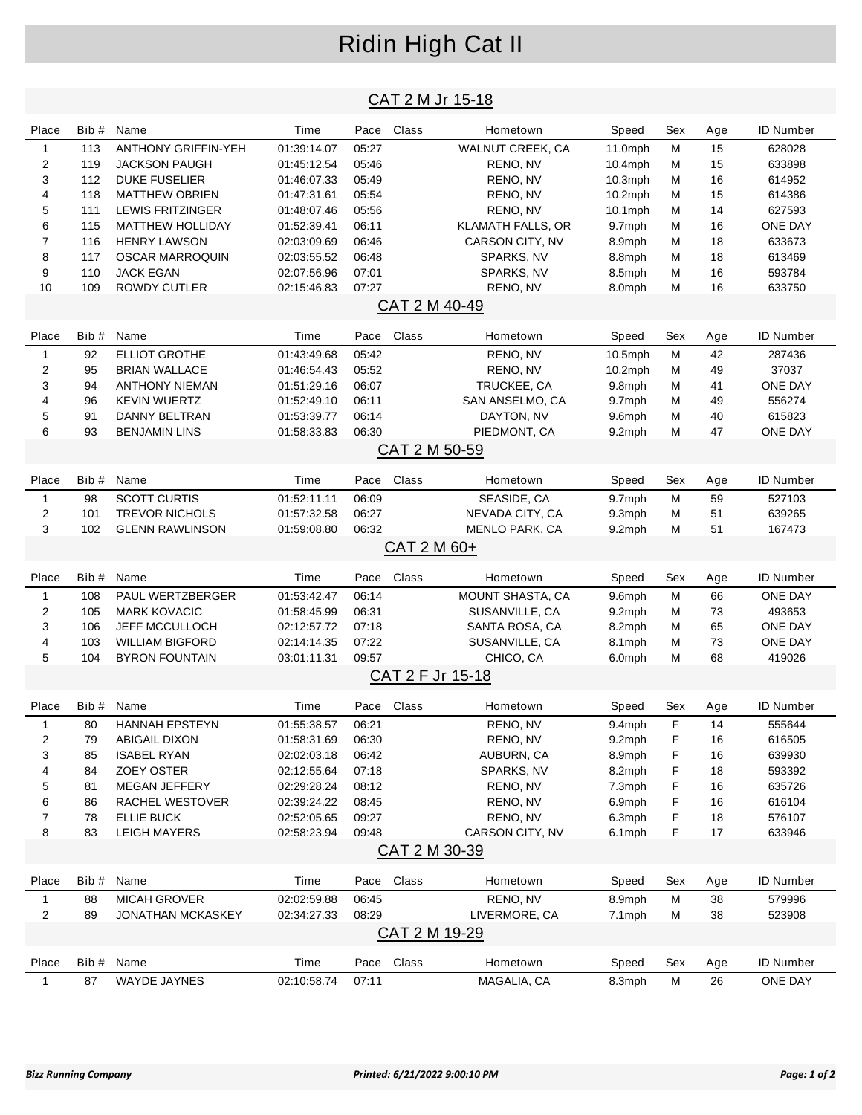### Ridin High Cat II

#### CAT 2 M Jr 15-18

| Place                   | Bib#       | Name                                            | Time                | Pace           | Class                | Hometown                 | Speed           | Sex    | Age       | ID Number            |
|-------------------------|------------|-------------------------------------------------|---------------------|----------------|----------------------|--------------------------|-----------------|--------|-----------|----------------------|
| $\mathbf{1}$            | 113        | <b>ANTHONY GRIFFIN-YEH</b>                      | 01:39:14.07         | 05:27          |                      | WALNUT CREEK, CA         | 11.0mph         | M      | 15        | 628028               |
| $\overline{\mathbf{c}}$ | 119        | <b>JACKSON PAUGH</b>                            | 01:45:12.54         | 05:46          |                      | RENO, NV                 | $10.4$ mph      | м      | 15        | 633898               |
| 3                       | 112        | <b>DUKE FUSELIER</b>                            | 01:46:07.33         | 05:49          |                      | RENO, NV                 | $10.3$ mph      | М      | 16        | 614952               |
| 4                       | 118        | <b>MATTHEW OBRIEN</b>                           | 01:47:31.61         | 05:54          |                      | RENO, NV                 | $10.2$ mph      | М      | 15        | 614386               |
| 5                       | 111        | <b>LEWIS FRITZINGER</b>                         | 01:48:07.46         | 05:56          |                      | RENO, NV                 | $10.1$ mph      | M      | 14        | 627593               |
| 6                       | 115        | <b>MATTHEW HOLLIDAY</b>                         | 01:52:39.41         | 06:11          |                      | <b>KLAMATH FALLS, OR</b> | 9.7mph          | М      | 16        | ONE DAY              |
| $\overline{7}$          | 116        | <b>HENRY LAWSON</b>                             | 02:03:09.69         | 06:46          |                      | CARSON CITY, NV          | 8.9mph          | М      | 18        | 633673               |
| 8                       | 117        | <b>OSCAR MARROQUIN</b>                          | 02:03:55.52         | 06:48          |                      | SPARKS, NV               | 8.8mph          | м      | 18        | 613469               |
| 9                       | 110        | <b>JACK EGAN</b>                                | 02:07:56.96         | 07:01          |                      | SPARKS, NV               | 8.5mph          | М      | 16        | 593784               |
| 10                      | 109        | <b>ROWDY CUTLER</b>                             | 02:15:46.83         | 07:27          |                      | RENO, NV                 | 8.0mph          | М      | 16        | 633750               |
|                         |            |                                                 |                     |                | CAT 2 M 40-49        |                          |                 |        |           |                      |
|                         |            |                                                 |                     |                |                      |                          |                 |        |           |                      |
| Place                   | Bib#       | Name                                            | Time                |                | Pace Class           | Hometown                 | Speed           | Sex    | Age       | <b>ID Number</b>     |
| $\mathbf{1}$            | 92         | <b>ELLIOT GROTHE</b>                            | 01:43:49.68         | 05:42          |                      | RENO, NV                 | 10.5mph         | M      | 42        | 287436               |
| $\overline{c}$          | 95         | <b>BRIAN WALLACE</b>                            | 01:46:54.43         | 05:52          |                      | RENO, NV                 | $10.2$ mph      | М      | 49        | 37037                |
| 3                       | 94         | <b>ANTHONY NIEMAN</b>                           | 01:51:29.16         | 06:07          |                      | TRUCKEE, CA              | 9.8mph          | М      | 41        | <b>ONE DAY</b>       |
| 4                       | 96         | <b>KEVIN WUERTZ</b>                             | 01:52:49.10         | 06:11          |                      | SAN ANSELMO, CA          | 9.7mph          | м      | 49        | 556274               |
| 5                       | 91         | DANNY BELTRAN                                   | 01:53:39.77         | 06:14          |                      | DAYTON, NV               | 9.6mph          | М      | 40        | 615823               |
| 6                       | 93         | <b>BENJAMIN LINS</b>                            | 01:58:33.83         | 06:30          |                      | PIEDMONT, CA             | 9.2mph          | М      | 47        | ONE DAY              |
|                         |            |                                                 |                     |                | CAT 2 M 50-59        |                          |                 |        |           |                      |
| Place                   | Bib#       | Name                                            | Time                | Pace           | Class                | Hometown                 | Speed           | Sex    | Age       | <b>ID Number</b>     |
|                         |            |                                                 |                     |                |                      |                          |                 |        |           |                      |
| $\mathbf{1}$            | 98         | <b>SCOTT CURTIS</b>                             | 01:52:11.11         | 06:09          |                      | SEASIDE, CA              | 9.7mph          | M      | 59        | 527103               |
| $\overline{c}$          | 101        | <b>TREVOR NICHOLS</b>                           | 01:57:32.58         | 06:27          |                      | NEVADA CITY, CA          | 9.3mph          | М      | 51        | 639265               |
| 3                       | 102        | <b>GLENN RAWLINSON</b>                          | 01:59:08.80         | 06:32          |                      | <b>MENLO PARK, CA</b>    | 9.2mph          | M      | 51        | 167473               |
|                         |            |                                                 |                     |                | CAT 2 M 60+          |                          |                 |        |           |                      |
|                         |            |                                                 |                     |                |                      |                          |                 |        |           |                      |
| Place                   | Bib#       | Name                                            | Time                | Pace           | Class                | Hometown                 | Speed           | Sex    | Age       | <b>ID Number</b>     |
|                         |            |                                                 |                     |                |                      |                          |                 |        |           |                      |
| $\mathbf{1}$            | 108        | PAUL WERTZBERGER                                | 01:53:42.47         | 06:14          |                      | MOUNT SHASTA, CA         | 9.6mph          | M      | 66        | <b>ONE DAY</b>       |
| $\overline{c}$          | 105        | <b>MARK KOVACIC</b>                             | 01:58:45.99         | 06:31          |                      | SUSANVILLE, CA           | 9.2mph          | М      | 73        | 493653               |
| 3                       | 106        | JEFF MCCULLOCH                                  | 02:12:57.72         | 07:18          |                      | SANTA ROSA, CA           | 8.2mph          | М      | 65        | ONE DAY              |
| 4<br>5                  | 103<br>104 | <b>WILLIAM BIGFORD</b><br><b>BYRON FOUNTAIN</b> | 02:14:14.35         | 07:22<br>09:57 |                      | SUSANVILLE, CA           | 8.1mph          | М<br>М | 73<br>68  | ONE DAY              |
|                         |            |                                                 | 03:01:11.31         |                |                      | CHICO, CA                | 6.0mph          |        |           | 419026               |
|                         |            |                                                 |                     |                | CAT 2 F Jr 15-18     |                          |                 |        |           |                      |
| Place                   | Bib #      | Name                                            | Time                |                | Pace Class           | Hometown                 | Speed           | Sex    | Age       | <b>ID Number</b>     |
| $\mathbf{1}$            | 80         | <b>HANNAH EPSTEYN</b>                           | 01:55:38.57         | 06:21          |                      | RENO, NV                 | 9.4mph          | F      | 14        | 555644               |
| 2                       | 79         | <b>ABIGAIL DIXON</b>                            | 01:58:31.69         | 06:30          |                      | RENO, NV                 | 9.2mph          | F      | 16        | 616505               |
| 3                       | 85         | <b>ISABEL RYAN</b>                              | 02:02:03.18         | 06:42          |                      | AUBURN, CA               | 8.9mph          | F      | 16        | 639930               |
| 4                       | 84         | <b>ZOEY OSTER</b>                               | 02:12:55.64         | 07:18          |                      | SPARKS, NV               | 8.2mph          | F      | 18        | 593392               |
| 5                       | 81         | <b>MEGAN JEFFERY</b>                            | 02:29:28.24         | 08:12          |                      | RENO, NV                 | 7.3mph          | F      | 16        | 635726               |
| 6                       | 86         | RACHEL WESTOVER                                 | 02:39:24.22         | 08:45          |                      | RENO, NV                 | 6.9mph          | F      | 16        | 616104               |
| 7                       | 78         | <b>ELLIE BUCK</b>                               | 02:52:05.65         | 09:27          |                      | RENO, NV                 | 6.3mph          | F      | 18        | 576107               |
| 8                       | 83         | <b>LEIGH MAYERS</b>                             | 02:58:23.94         | 09:48          |                      | CARSON CITY, NV          | 6.1mph          | F      | 17        | 633946               |
|                         |            |                                                 |                     |                | <u>CAT 2 M 30-39</u> |                          |                 |        |           |                      |
|                         |            |                                                 |                     |                |                      |                          |                 |        |           |                      |
| Place                   | Bib#       | Name                                            | Time                |                | Pace Class           | Hometown                 | Speed           | Sex    | Age       | <b>ID Number</b>     |
| 1                       | 88         | MICAH GROVER                                    | 02:02:59.88         | 06:45          |                      | RENO, NV                 | 8.9mph          | M      | 38        | 579996               |
| $\overline{c}$          | 89         | <b>JONATHAN MCKASKEY</b>                        | 02:34:27.33         | 08:29          |                      | LIVERMORE, CA            | 7.1mph          | M      | 38        | 523908               |
|                         |            |                                                 |                     |                | CAT 2 M 19-29        |                          |                 |        |           |                      |
| Place                   | Bib#       | Name                                            |                     |                |                      | Hometown                 |                 | Sex    |           |                      |
| $\mathbf{1}$            | 87         | WAYDE JAYNES                                    | Time<br>02:10:58.74 | 07:11          | Pace Class           | MAGALIA, CA              | Speed<br>8.3mph | M      | Age<br>26 | ID Number<br>ONE DAY |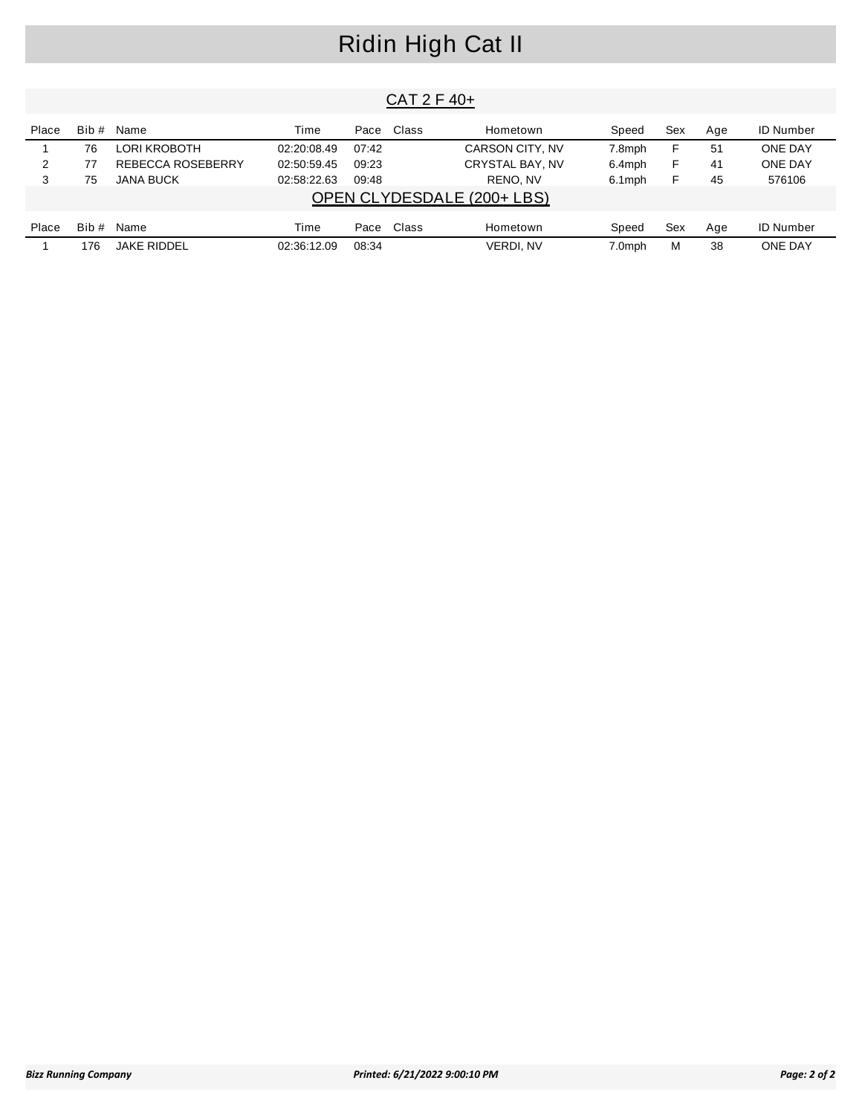# Ridin High Cat II

| CA I 2 F 40+ |       |                    |             |       |            |                            |        |     |     |                  |  |  |
|--------------|-------|--------------------|-------------|-------|------------|----------------------------|--------|-----|-----|------------------|--|--|
| Place        | Bib # | Name               | Time        |       | Pace Class | Hometown                   | Speed  | Sex | Age | <b>ID Number</b> |  |  |
|              | 76    | LORI KROBOTH       | 02:20:08.49 | 07:42 |            | CARSON CITY, NV            | 7.8mph | F   | -51 | <b>ONE DAY</b>   |  |  |
| 2            | 77    | REBECCA ROSEBERRY  | 02:50:59.45 | 09:23 |            | CRYSTAL BAY, NV            | 6.4mph | F   | 41  | <b>ONE DAY</b>   |  |  |
| 3            | 75    | JANA BUCK          | 02:58:22.63 | 09:48 |            | RENO, NV                   | 6.1mph | F   | 45  | 576106           |  |  |
|              |       |                    |             |       |            | OPEN CLYDESDALE (200+ LBS) |        |     |     |                  |  |  |
| Place        | Bib # | Name               | Time        |       | Pace Class | Hometown                   | Speed  | Sex | Age | <b>ID Number</b> |  |  |
|              | 176   | <b>JAKE RIDDEL</b> | 02:36:12.09 | 08:34 |            | VERDI. NV                  | 7.0mph | М   | 38  | <b>ONE DAY</b>   |  |  |

 $CAT 2F 40$